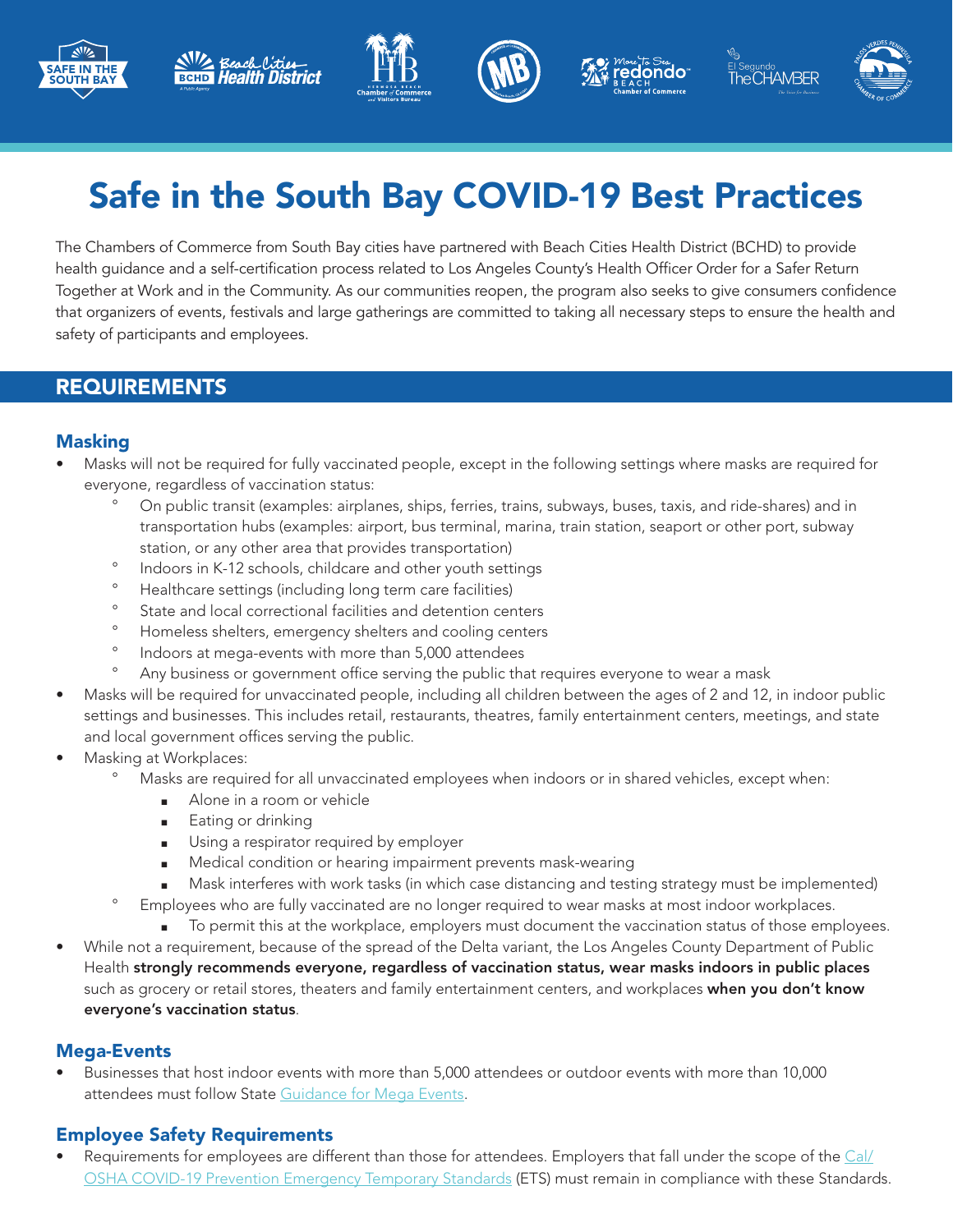











# Safe in the South Bay COVID-19 Best Practices

The Chambers of Commerce from South Bay cities have partnered with Beach Cities Health District (BCHD) to provide health guidance and a self-certification process related to Los Angeles County's Health Officer Order for a Safer Return Together at Work and in the Community. As our communities reopen, the program also seeks to give consumers confidence that organizers of events, festivals and large gatherings are committed to taking all necessary steps to ensure the health and safety of participants and employees.

### REQUIREMENTS

#### Masking

- Masks will not be required for fully vaccinated people, except in the following settings where masks are required for everyone, regardless of vaccination status:
	- ° On public transit (examples: airplanes, ships, ferries, trains, subways, buses, taxis, and ride-shares) and in transportation hubs (examples: airport, bus terminal, marina, train station, seaport or other port, subway station, or any other area that provides transportation)
	- ° Indoors in K-12 schools, childcare and other youth settings
	- ° Healthcare settings (including long term care facilities)
	- ° State and local correctional facilities and detention centers
	- ° Homeless shelters, emergency shelters and cooling centers
	- ° Indoors at mega-events with more than 5,000 attendees
	- ° Any business or government office serving the public that requires everyone to wear a mask
- Masks will be required for unvaccinated people, including all children between the ages of 2 and 12, in indoor public settings and businesses. This includes retail, restaurants, theatres, family entertainment centers, meetings, and state and local government offices serving the public.
- Masking at Workplaces:
	- ° Masks are required for all unvaccinated employees when indoors or in shared vehicles, except when:
		- Alone in a room or vehicle
		- ρ Eating or drinking
		- Using a respirator required by employer
		- Medical condition or hearing impairment prevents mask-wearing
		- Mask interferes with work tasks (in which case distancing and testing strategy must be implemented)
	- ° Employees who are fully vaccinated are no longer required to wear masks at most indoor workplaces.
		- **F** To permit this at the workplace, employers must document the vaccination status of those employees.
- While not a requirement, because of the spread of the Delta variant, the Los Angeles County Department of Public Health strongly recommends everyone, regardless of vaccination status, wear masks indoors in public places such as grocery or retail stores, theaters and family entertainment centers, and workplaces when you don't know everyone's vaccination status.

#### Mega-Events

• Businesses that host indoor events with more than 5,000 attendees or outdoor events with more than 10,000 attendees must follow State [Guidance for Mega Events](https://www.cdph.ca.gov/Programs/CID/DCDC/Pages/COVID-19/Beyond-Blueprint-Framework.aspx).

#### Employee Safety Requirements

• Requirements for employees are different than those for attendees. Employers that fall under the scope of the [Cal/](https://www.dir.ca.gov/dosh/coronavirus/ETS.html) [OSHA COVID-19 Prevention Emergency Temporary Standards](https://www.dir.ca.gov/dosh/coronavirus/ETS.html) (ETS) must remain in compliance with these Standards.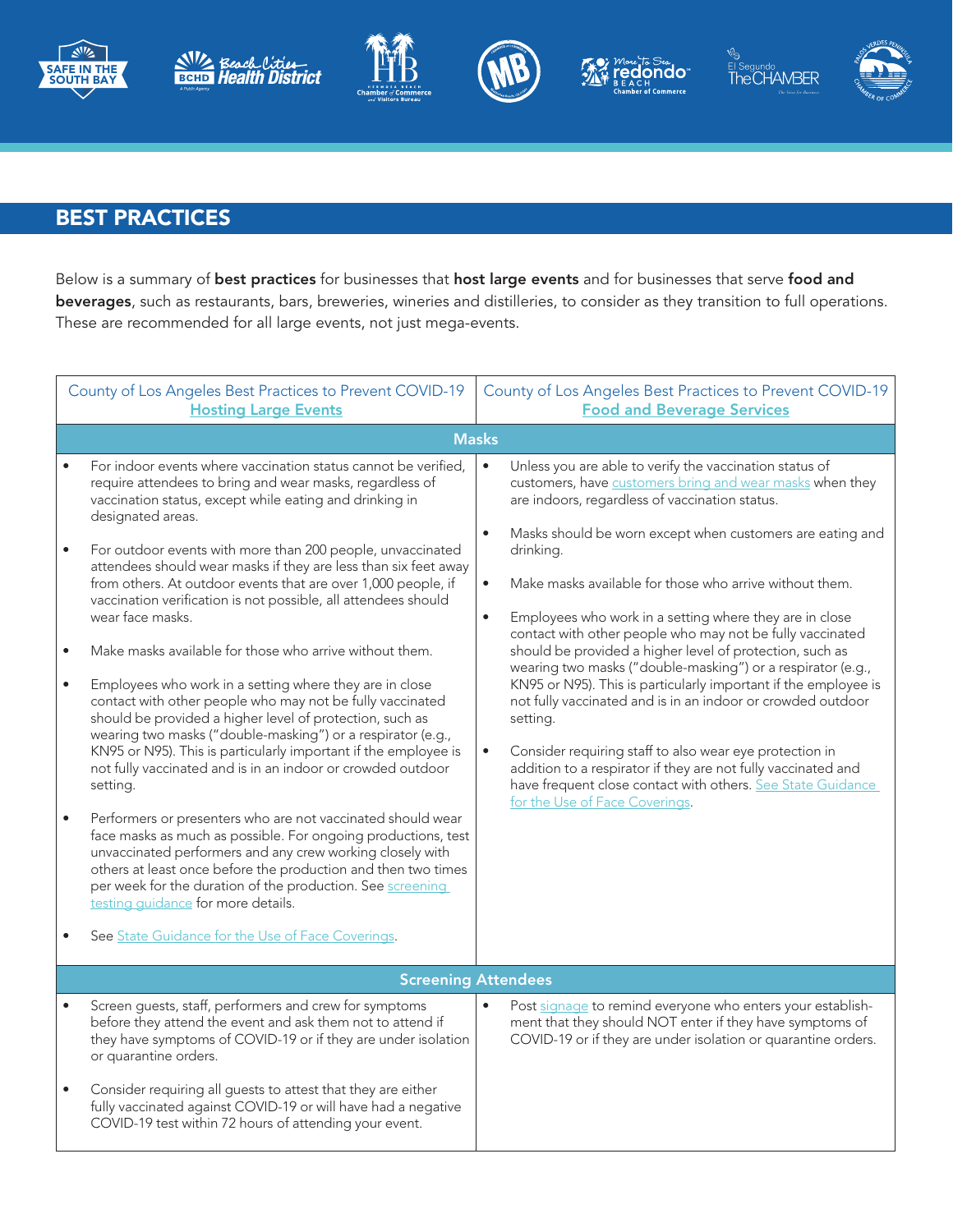











## BEST PRACTICES

Below is a summary of best practices for businesses that host large events and for businesses that serve food and beverages, such as restaurants, bars, breweries, wineries and distilleries, to consider as they transition to full operations. These are recommended for all large events, not just mega-events.

| County of Los Angeles Best Practices to Prevent COVID-19<br><b>Hosting Large Events</b>                                                                                                                                                                                                                                                                                                                                                                                                                                                                                                                                                                                                                                                                                                                                                                                                                                                                                                                                                                                                                                                                                                                                                                                                                                                                                                                         | County of Los Angeles Best Practices to Prevent COVID-19<br><b>Food and Beverage Services</b>                                                                                                                                                                                                                                                                                                                                                                                                                                                                                                                                                                                                                                                                                                                                                                                                                                                                                                             |  |  |  |  |
|-----------------------------------------------------------------------------------------------------------------------------------------------------------------------------------------------------------------------------------------------------------------------------------------------------------------------------------------------------------------------------------------------------------------------------------------------------------------------------------------------------------------------------------------------------------------------------------------------------------------------------------------------------------------------------------------------------------------------------------------------------------------------------------------------------------------------------------------------------------------------------------------------------------------------------------------------------------------------------------------------------------------------------------------------------------------------------------------------------------------------------------------------------------------------------------------------------------------------------------------------------------------------------------------------------------------------------------------------------------------------------------------------------------------|-----------------------------------------------------------------------------------------------------------------------------------------------------------------------------------------------------------------------------------------------------------------------------------------------------------------------------------------------------------------------------------------------------------------------------------------------------------------------------------------------------------------------------------------------------------------------------------------------------------------------------------------------------------------------------------------------------------------------------------------------------------------------------------------------------------------------------------------------------------------------------------------------------------------------------------------------------------------------------------------------------------|--|--|--|--|
| <b>Masks</b>                                                                                                                                                                                                                                                                                                                                                                                                                                                                                                                                                                                                                                                                                                                                                                                                                                                                                                                                                                                                                                                                                                                                                                                                                                                                                                                                                                                                    |                                                                                                                                                                                                                                                                                                                                                                                                                                                                                                                                                                                                                                                                                                                                                                                                                                                                                                                                                                                                           |  |  |  |  |
| For indoor events where vaccination status cannot be verified,<br>require attendees to bring and wear masks, regardless of<br>vaccination status, except while eating and drinking in<br>designated areas.<br>For outdoor events with more than 200 people, unvaccinated<br>$\bullet$<br>attendees should wear masks if they are less than six feet away<br>from others. At outdoor events that are over 1,000 people, if<br>vaccination verification is not possible, all attendees should<br>wear face masks.<br>Make masks available for those who arrive without them.<br>Employees who work in a setting where they are in close<br>$\bullet$<br>contact with other people who may not be fully vaccinated<br>should be provided a higher level of protection, such as<br>wearing two masks ("double-masking") or a respirator (e.g.,<br>KN95 or N95). This is particularly important if the employee is<br>not fully vaccinated and is in an indoor or crowded outdoor<br>setting.<br>Performers or presenters who are not vaccinated should wear<br>face masks as much as possible. For ongoing productions, test<br>unvaccinated performers and any crew working closely with<br>others at least once before the production and then two times<br>per week for the duration of the production. See screening<br>testing quidance for more details.<br>See State Guidance for the Use of Face Coverings. | $\bullet$<br>Unless you are able to verify the vaccination status of<br>customers, have customers bring and wear masks when they<br>are indoors, regardless of vaccination status.<br>Masks should be worn except when customers are eating and<br>$\bullet$<br>drinking.<br>$\bullet$<br>Make masks available for those who arrive without them.<br>Employees who work in a setting where they are in close<br>$\bullet$<br>contact with other people who may not be fully vaccinated<br>should be provided a higher level of protection, such as<br>wearing two masks ("double-masking") or a respirator (e.g.,<br>KN95 or N95). This is particularly important if the employee is<br>not fully vaccinated and is in an indoor or crowded outdoor<br>setting.<br>Consider requiring staff to also wear eye protection in<br>$\bullet$<br>addition to a respirator if they are not fully vaccinated and<br>have frequent close contact with others. See State Guidance<br>for the Use of Face Coverings. |  |  |  |  |
|                                                                                                                                                                                                                                                                                                                                                                                                                                                                                                                                                                                                                                                                                                                                                                                                                                                                                                                                                                                                                                                                                                                                                                                                                                                                                                                                                                                                                 | <b>Screening Attendees</b>                                                                                                                                                                                                                                                                                                                                                                                                                                                                                                                                                                                                                                                                                                                                                                                                                                                                                                                                                                                |  |  |  |  |
| Screen guests, staff, performers and crew for symptoms<br>before they attend the event and ask them not to attend if<br>they have symptoms of COVID-19 or if they are under isolation<br>or quarantine orders.<br>Consider requiring all guests to attest that they are either<br>fully vaccinated against COVID-19 or will have had a negative<br>COVID-19 test within 72 hours of attending your event.                                                                                                                                                                                                                                                                                                                                                                                                                                                                                                                                                                                                                                                                                                                                                                                                                                                                                                                                                                                                       | Post signage to remind everyone who enters your establish-<br>ment that they should NOT enter if they have symptoms of<br>COVID-19 or if they are under isolation or quarantine orders.                                                                                                                                                                                                                                                                                                                                                                                                                                                                                                                                                                                                                                                                                                                                                                                                                   |  |  |  |  |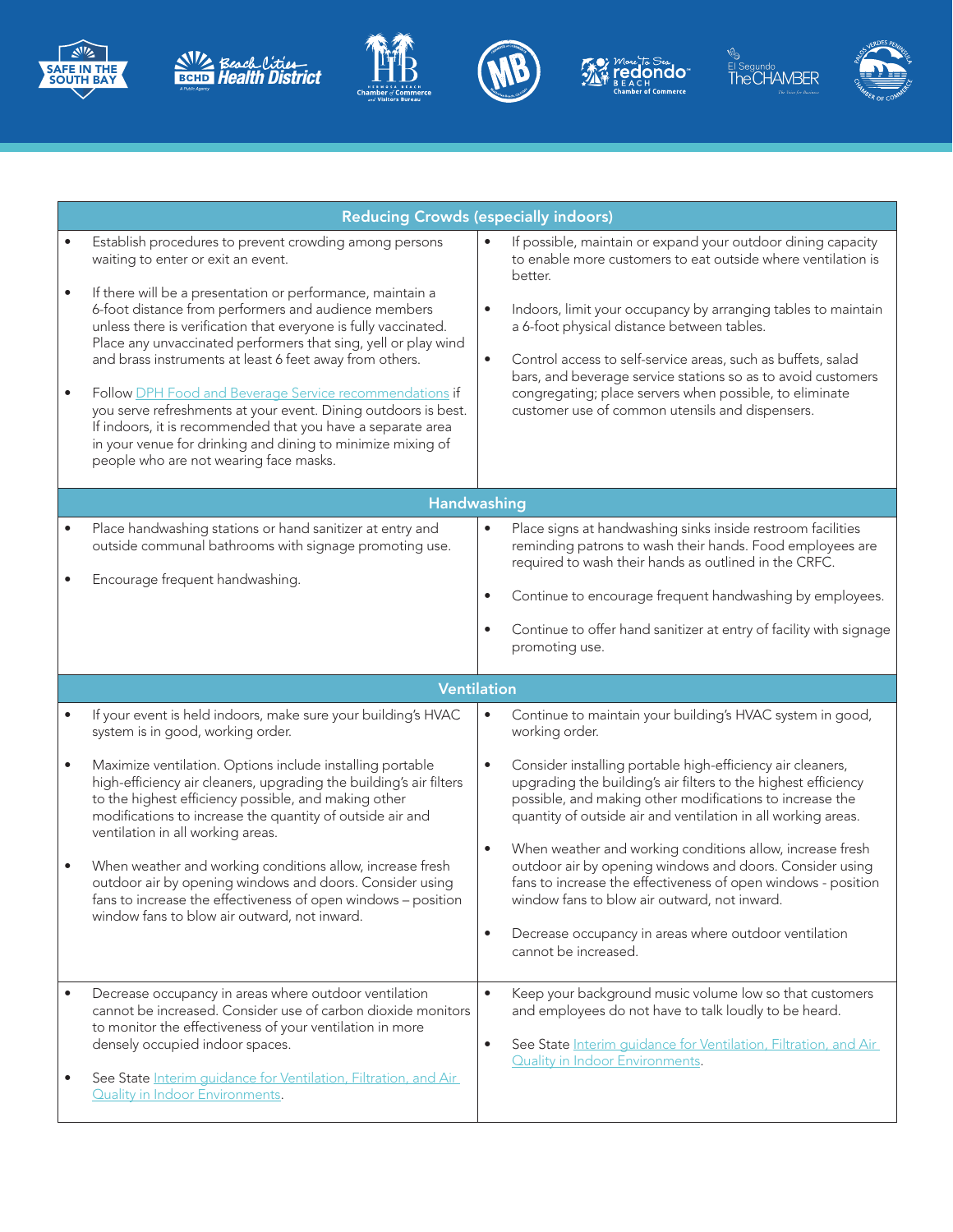











|                        | <b>Reducing Crowds (especially indoors)</b>                                                                                                                                                                                                                                                                                                                                                                                                                                                                                                                                                                                                                                                                             |                                                                                                                                                                                                                                                                                                                                                                                                                                                                                                                                                                                        |  |  |  |
|------------------------|-------------------------------------------------------------------------------------------------------------------------------------------------------------------------------------------------------------------------------------------------------------------------------------------------------------------------------------------------------------------------------------------------------------------------------------------------------------------------------------------------------------------------------------------------------------------------------------------------------------------------------------------------------------------------------------------------------------------------|----------------------------------------------------------------------------------------------------------------------------------------------------------------------------------------------------------------------------------------------------------------------------------------------------------------------------------------------------------------------------------------------------------------------------------------------------------------------------------------------------------------------------------------------------------------------------------------|--|--|--|
| $\bullet$<br>$\bullet$ | Establish procedures to prevent crowding among persons<br>waiting to enter or exit an event.<br>If there will be a presentation or performance, maintain a<br>6-foot distance from performers and audience members<br>unless there is verification that everyone is fully vaccinated.<br>Place any unvaccinated performers that sing, yell or play wind<br>and brass instruments at least 6 feet away from others.<br>Follow DPH Food and Beverage Service recommendations if<br>you serve refreshments at your event. Dining outdoors is best.<br>If indoors, it is recommended that you have a separate area<br>in your venue for drinking and dining to minimize mixing of<br>people who are not wearing face masks. | If possible, maintain or expand your outdoor dining capacity<br>to enable more customers to eat outside where ventilation is<br>better.<br>Indoors, limit your occupancy by arranging tables to maintain<br>$\bullet$<br>a 6-foot physical distance between tables.<br>Control access to self-service areas, such as buffets, salad<br>$\bullet$<br>bars, and beverage service stations so as to avoid customers<br>congregating; place servers when possible, to eliminate<br>customer use of common utensils and dispensers.                                                         |  |  |  |
|                        | Handwashing                                                                                                                                                                                                                                                                                                                                                                                                                                                                                                                                                                                                                                                                                                             |                                                                                                                                                                                                                                                                                                                                                                                                                                                                                                                                                                                        |  |  |  |
| $\bullet$              | Place handwashing stations or hand sanitizer at entry and<br>outside communal bathrooms with signage promoting use.<br>Encourage frequent handwashing.                                                                                                                                                                                                                                                                                                                                                                                                                                                                                                                                                                  | Place signs at handwashing sinks inside restroom facilities<br>٠<br>reminding patrons to wash their hands. Food employees are<br>required to wash their hands as outlined in the CRFC.<br>Continue to encourage frequent handwashing by employees.<br>$\bullet$<br>Continue to offer hand sanitizer at entry of facility with signage<br>$\bullet$<br>promoting use.                                                                                                                                                                                                                   |  |  |  |
|                        |                                                                                                                                                                                                                                                                                                                                                                                                                                                                                                                                                                                                                                                                                                                         | <b>Ventilation</b>                                                                                                                                                                                                                                                                                                                                                                                                                                                                                                                                                                     |  |  |  |
| $\bullet$              | If your event is held indoors, make sure your building's HVAC<br>system is in good, working order.                                                                                                                                                                                                                                                                                                                                                                                                                                                                                                                                                                                                                      | Continue to maintain your building's HVAC system in good,<br>$\bullet$<br>working order.                                                                                                                                                                                                                                                                                                                                                                                                                                                                                               |  |  |  |
| $\bullet$<br>$\bullet$ | Maximize ventilation. Options include installing portable<br>high-efficiency air cleaners, upgrading the building's air filters<br>to the highest efficiency possible, and making other<br>modifications to increase the quantity of outside air and<br>ventilation in all working areas.<br>When weather and working conditions allow, increase fresh<br>outdoor air by opening windows and doors. Consider using<br>fans to increase the effectiveness of open windows - position<br>window fans to blow air outward, not inward.                                                                                                                                                                                     | Consider installing portable high-efficiency air cleaners,<br>$\bullet$<br>upgrading the building's air filters to the highest efficiency<br>possible, and making other modifications to increase the<br>quantity of outside air and ventilation in all working areas.<br>When weather and working conditions allow, increase fresh<br>$\bullet$<br>outdoor air by opening windows and doors. Consider using<br>fans to increase the effectiveness of open windows - position<br>window fans to blow air outward, not inward.<br>Decrease occupancy in areas where outdoor ventilation |  |  |  |
|                        |                                                                                                                                                                                                                                                                                                                                                                                                                                                                                                                                                                                                                                                                                                                         | cannot be increased.                                                                                                                                                                                                                                                                                                                                                                                                                                                                                                                                                                   |  |  |  |
|                        | Decrease occupancy in areas where outdoor ventilation<br>cannot be increased. Consider use of carbon dioxide monitors<br>to monitor the effectiveness of your ventilation in more<br>densely occupied indoor spaces.<br>See State Interim guidance for Ventilation, Filtration, and Air<br><b>Quality in Indoor Environments.</b>                                                                                                                                                                                                                                                                                                                                                                                       | $\bullet$<br>Keep your background music volume low so that customers<br>and employees do not have to talk loudly to be heard.<br>See State Interim guidance for Ventilation, Filtration, and Air<br>$\bullet$<br><b>Quality in Indoor Environments.</b>                                                                                                                                                                                                                                                                                                                                |  |  |  |
|                        |                                                                                                                                                                                                                                                                                                                                                                                                                                                                                                                                                                                                                                                                                                                         |                                                                                                                                                                                                                                                                                                                                                                                                                                                                                                                                                                                        |  |  |  |